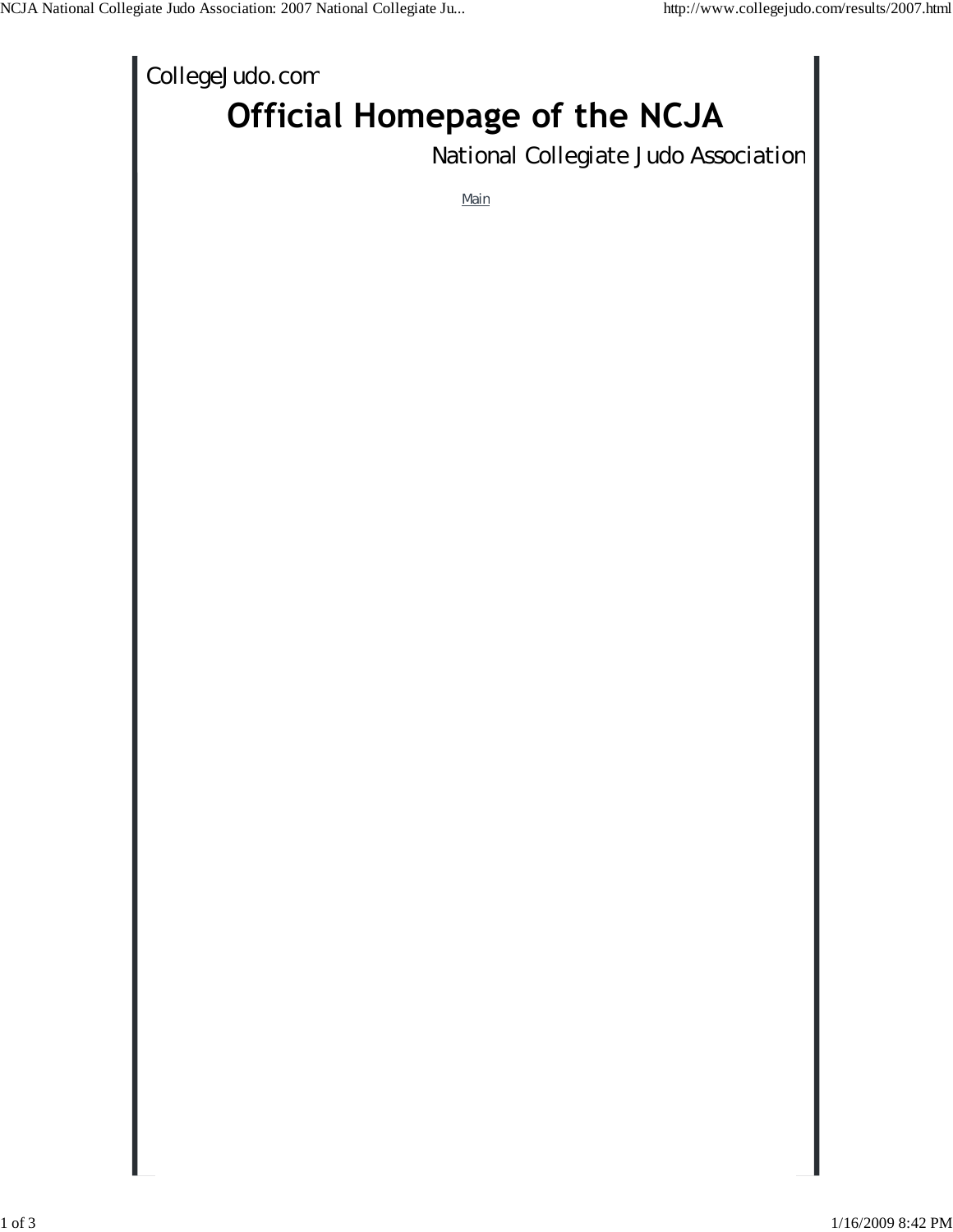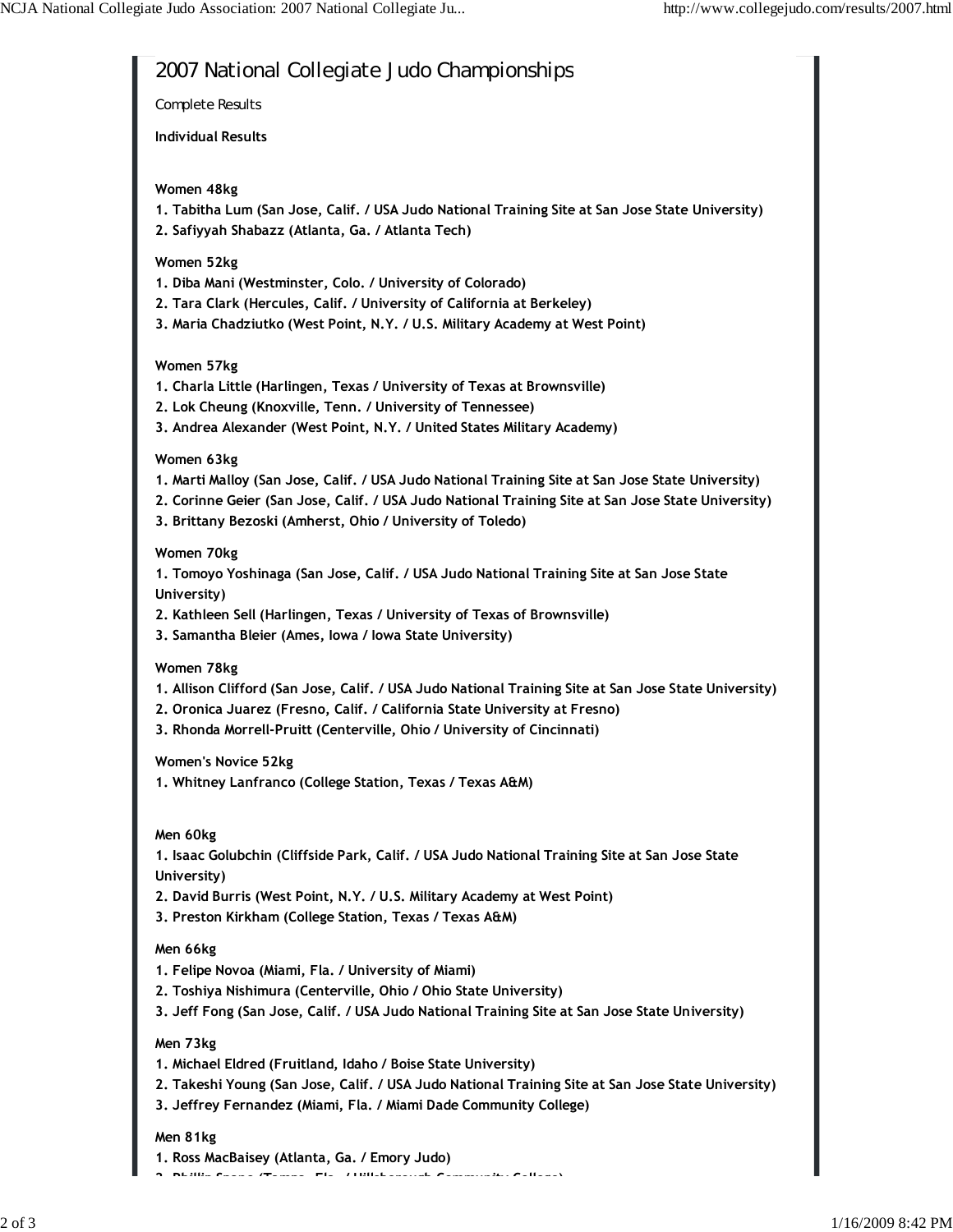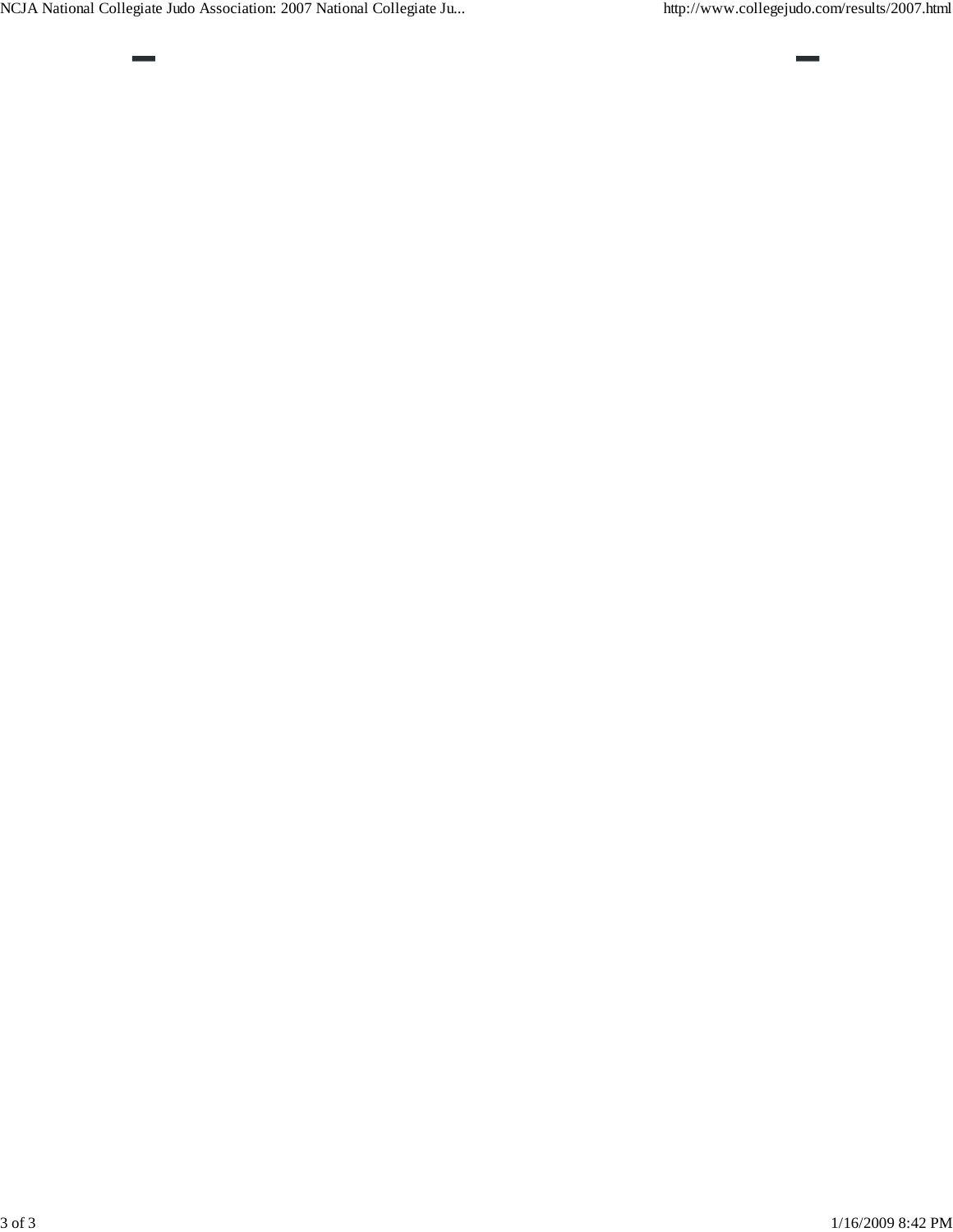NCJA National Collegiate Judo Association: 2007 National Collegiate Ju... http://www.collegejudo.com/results/2007.html

 $\mathcal{L}_{\mathcal{A}}$ 

٠

**College**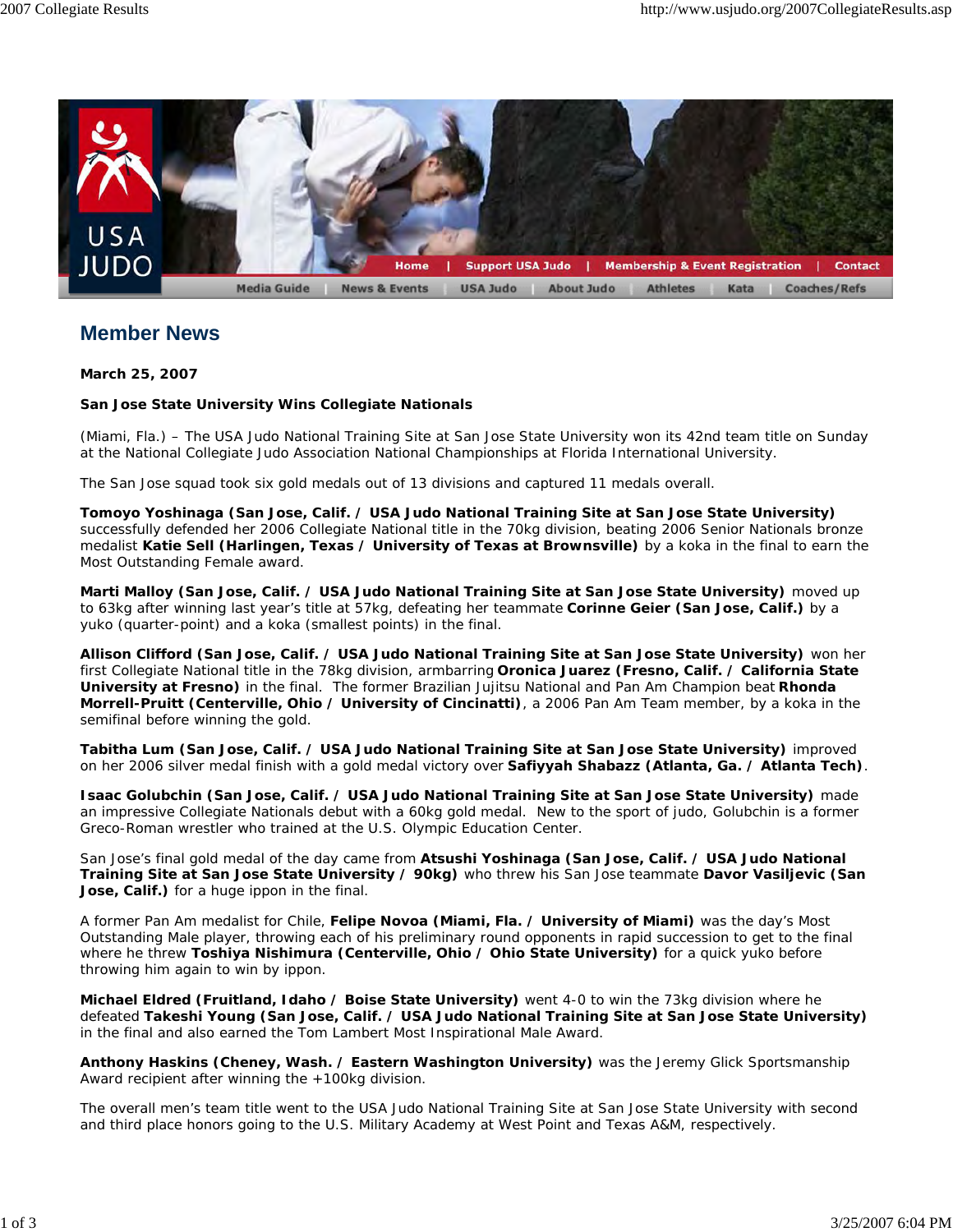

# **Member News**

**March 25, 2007** 

# **San Jose State University Wins Collegiate Nationals**

(Miami, Fla.) – The USA Judo National Training Site at San Jose State University won its 42nd team title on Sunday at the National Collegiate Judo Association National Championships at Florida International University.

The San Jose squad took six gold medals out of 13 divisions and captured 11 medals overall.

**Tomoyo Yoshinaga (San Jose, Calif. / USA Judo National Training Site at San Jose State University)**  successfully defended her 2006 Collegiate National title in the 70kg division, beating 2006 Senior Nationals bronze medalist **Katie Sell (Harlingen, Texas / University of Texas at Brownsville)** by a koka in the final to earn the Most Outstanding Female award.

**Marti Malloy (San Jose, Calif. / USA Judo National Training Site at San Jose State University)** moved up to 63kg after winning last year's title at 57kg, defeating her teammate **Corinne Geier (San Jose, Calif.)** by a yuko (quarter-point) and a koka (smallest points) in the final.

**Allison Clifford (San Jose, Calif. / USA Judo National Training Site at San Jose State University)** won her first Collegiate National title in the 78kg division, armbarring **Oronica Juarez (Fresno, Calif. / California State University at Fresno)** in the final. The former Brazilian Jujitsu National and Pan Am Champion beat **Rhonda Morrell-Pruitt (Centerville, Ohio / University of Cincinatti)**, a 2006 Pan Am Team member, by a koka in the semifinal before winning the gold.

**Tabitha Lum (San Jose, Calif. / USA Judo National Training Site at San Jose State University)** improved on her 2006 silver medal finish with a gold medal victory over **Safiyyah Shabazz (Atlanta, Ga. / Atlanta Tech)**.

**Isaac Golubchin (San Jose, Calif. / USA Judo National Training Site at San Jose State University)** made an impressive Collegiate Nationals debut with a 60kg gold medal. New to the sport of judo, Golubchin is a former Greco-Roman wrestler who trained at the U.S. Olympic Education Center.

San Jose's final gold medal of the day came from **Atsushi Yoshinaga (San Jose, Calif. / USA Judo National Training Site at San Jose State University / 90kg)** who threw his San Jose teammate **Davor Vasiljevic (San Jose, Calif.)** for a huge ippon in the final.

A former Pan Am medalist for Chile, **Felipe Novoa (Miami, Fla. / University of Miami)** was the day's Most Outstanding Male player, throwing each of his preliminary round opponents in rapid succession to get to the final where he threw **Toshiya Nishimura (Centerville, Ohio / Ohio State University)** for a quick yuko before throwing him again to win by ippon.

**Michael Eldred (Fruitland, Idaho / Boise State University)** went 4-0 to win the 73kg division where he defeated **Takeshi Young (San Jose, Calif. / USA Judo National Training Site at San Jose State University)**  in the final and also earned the Tom Lambert Most Inspirational Male Award.

**Anthony Haskins (Cheney, Wash. / Eastern Washington University)** was the Jeremy Glick Sportsmanship Award recipient after winning the +100kg division.

The overall men's team title went to the USA Judo National Training Site at San Jose State University with second and third place honors going to the U.S. Military Academy at West Point and Texas A&M, respectively.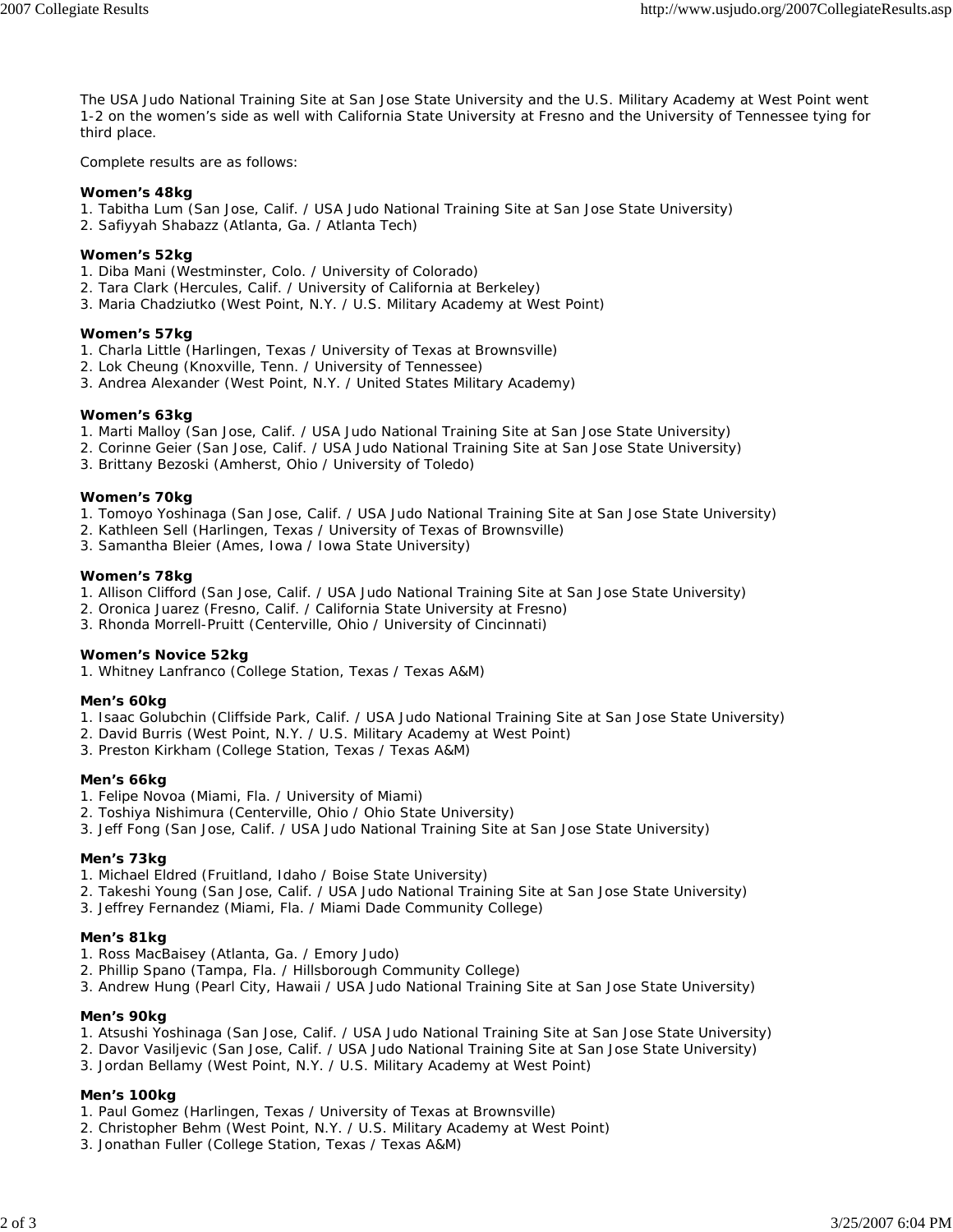The USA Judo National Training Site at San Jose State University and the U.S. Military Academy at West Point went 1-2 on the women's side as well with California State University at Fresno and the University of Tennessee tying for third place.

Complete results are as follows:

#### *Women's 48kg*

- 1. Tabitha Lum (San Jose, Calif. / USA Judo National Training Site at San Jose State University)
- 2. Safiyyah Shabazz (Atlanta, Ga. / Atlanta Tech)

#### *Women's 52kg*

- 1. Diba Mani (Westminster, Colo. / University of Colorado)
- 2. Tara Clark (Hercules, Calif. / University of California at Berkeley)
- 3. Maria Chadziutko (West Point, N.Y. / U.S. Military Academy at West Point)

#### *Women's 57kg*

- 1. Charla Little (Harlingen, Texas / University of Texas at Brownsville)
- 2. Lok Cheung (Knoxville, Tenn. / University of Tennessee)
- 3. Andrea Alexander (West Point, N.Y. / United States Military Academy)

#### *Women's 63kg*

- 1. Marti Malloy (San Jose, Calif. / USA Judo National Training Site at San Jose State University)
- 2. Corinne Geier (San Jose, Calif. / USA Judo National Training Site at San Jose State University)
- 3. Brittany Bezoski (Amherst, Ohio / University of Toledo)

#### *Women's 70kg*

- 1. Tomoyo Yoshinaga (San Jose, Calif. / USA Judo National Training Site at San Jose State University)
- 2. Kathleen Sell (Harlingen, Texas / University of Texas of Brownsville)
- 3. Samantha Bleier (Ames, Iowa / Iowa State University)

#### *Women's 78kg*

- 1. Allison Clifford (San Jose, Calif. / USA Judo National Training Site at San Jose State University)
- 2. Oronica Juarez (Fresno, Calif. / California State University at Fresno)
- 3. Rhonda Morrell-Pruitt (Centerville, Ohio / University of Cincinnati)

## *Women's Novice 52kg*

1. Whitney Lanfranco (College Station, Texas / Texas A&M)

#### *Men's 60kg*

- 1. Isaac Golubchin (Cliffside Park, Calif. / USA Judo National Training Site at San Jose State University)
- 2. David Burris (West Point, N.Y. / U.S. Military Academy at West Point)
- 3. Preston Kirkham (College Station, Texas / Texas A&M)

#### *Men's 66kg*

- 1. Felipe Novoa (Miami, Fla. / University of Miami)
- 2. Toshiya Nishimura (Centerville, Ohio / Ohio State University)
- 3. Jeff Fong (San Jose, Calif. / USA Judo National Training Site at San Jose State University)

## *Men's 73kg*

- 1. Michael Eldred (Fruitland, Idaho / Boise State University)
- 2. Takeshi Young (San Jose, Calif. / USA Judo National Training Site at San Jose State University)
- 3. Jeffrey Fernandez (Miami, Fla. / Miami Dade Community College)

## *Men's 81kg*

- 1. Ross MacBaisey (Atlanta, Ga. / Emory Judo)
- 2. Phillip Spano (Tampa, Fla. / Hillsborough Community College)
- 3. Andrew Hung (Pearl City, Hawaii / USA Judo National Training Site at San Jose State University)

#### *Men's 90kg*

- 1. Atsushi Yoshinaga (San Jose, Calif. / USA Judo National Training Site at San Jose State University)
- 2. Davor Vasiljevic (San Jose, Calif. / USA Judo National Training Site at San Jose State University)
- 3. Jordan Bellamy (West Point, N.Y. / U.S. Military Academy at West Point)

## *Men's 100kg*

- 1. Paul Gomez (Harlingen, Texas / University of Texas at Brownsville)
- 2. Christopher Behm (West Point, N.Y. / U.S. Military Academy at West Point)
- 3. Jonathan Fuller (College Station, Texas / Texas A&M)